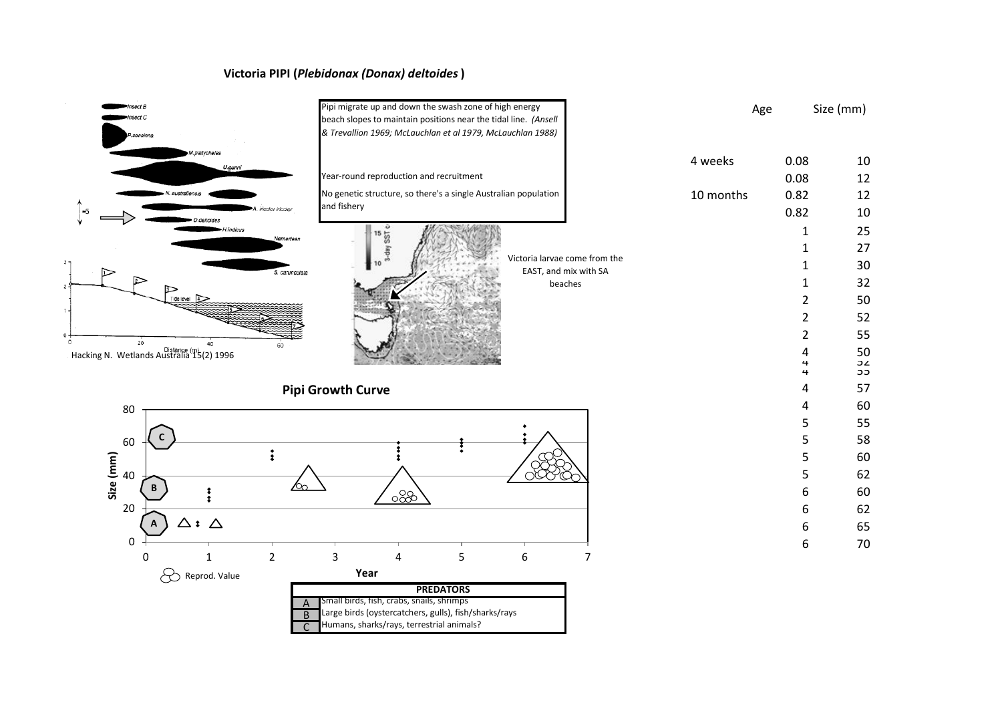## **Victoria PIPI (***Plebidonax (Donax) deltoides***)**